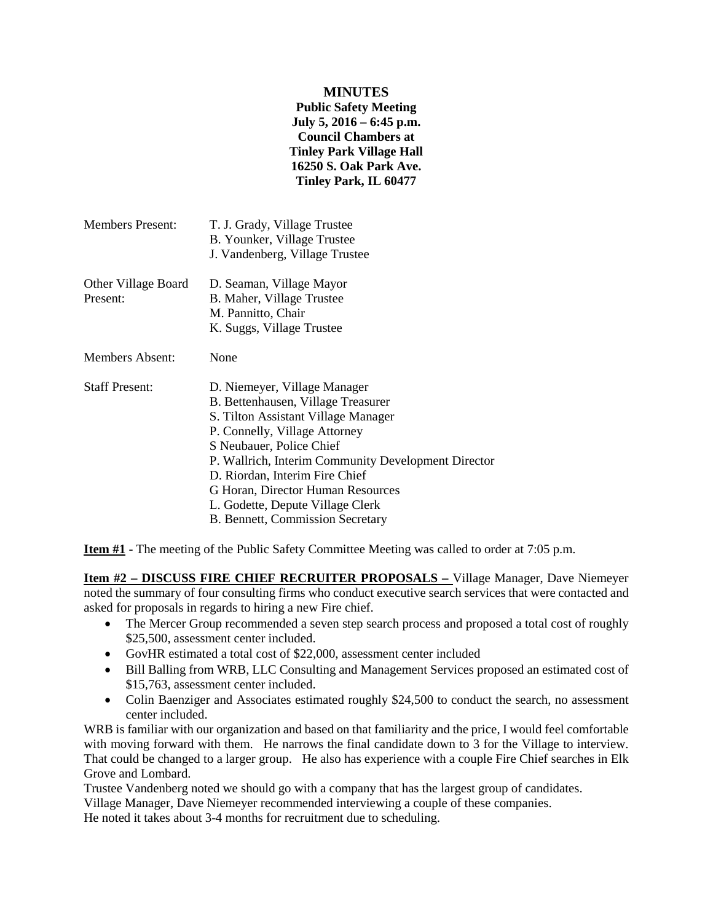## **MINUTES**

**Public Safety Meeting July 5, 2016 – 6:45 p.m. Council Chambers at Tinley Park Village Hall 16250 S. Oak Park Ave. Tinley Park, IL 60477**

| Members Present:                | T. J. Grady, Village Trustee<br>B. Younker, Village Trustee<br>J. Vandenberg, Village Trustee                                                                                                                                                                                                                                                                                |
|---------------------------------|------------------------------------------------------------------------------------------------------------------------------------------------------------------------------------------------------------------------------------------------------------------------------------------------------------------------------------------------------------------------------|
| Other Village Board<br>Present: | D. Seaman, Village Mayor<br>B. Maher, Village Trustee<br>M. Pannitto, Chair<br>K. Suggs, Village Trustee                                                                                                                                                                                                                                                                     |
| <b>Members Absent:</b>          | None                                                                                                                                                                                                                                                                                                                                                                         |
| <b>Staff Present:</b>           | D. Niemeyer, Village Manager<br>B. Bettenhausen, Village Treasurer<br>S. Tilton Assistant Village Manager<br>P. Connelly, Village Attorney<br>S Neubauer, Police Chief<br>P. Wallrich, Interim Community Development Director<br>D. Riordan, Interim Fire Chief<br>G Horan, Director Human Resources<br>L. Godette, Depute Village Clerk<br>B. Bennett, Commission Secretary |

**Item #1** - The meeting of the Public Safety Committee Meeting was called to order at 7:05 p.m.

**Item #2 – DISCUSS FIRE CHIEF RECRUITER PROPOSALS –** Village Manager, Dave Niemeyer noted the summary of four consulting firms who conduct executive search services that were contacted and asked for proposals in regards to hiring a new Fire chief.

- The Mercer Group recommended a seven step search process and proposed a total cost of roughly \$25,500, assessment center included.
- GovHR estimated a total cost of \$22,000, assessment center included
- Bill Balling from WRB, LLC Consulting and Management Services proposed an estimated cost of \$15,763, assessment center included.
- Colin Baenziger and Associates estimated roughly \$24,500 to conduct the search, no assessment center included.

WRB is familiar with our organization and based on that familiarity and the price, I would feel comfortable with moving forward with them. He narrows the final candidate down to 3 for the Village to interview. That could be changed to a larger group. He also has experience with a couple Fire Chief searches in Elk Grove and Lombard.

Trustee Vandenberg noted we should go with a company that has the largest group of candidates.

Village Manager, Dave Niemeyer recommended interviewing a couple of these companies.

He noted it takes about 3-4 months for recruitment due to scheduling.